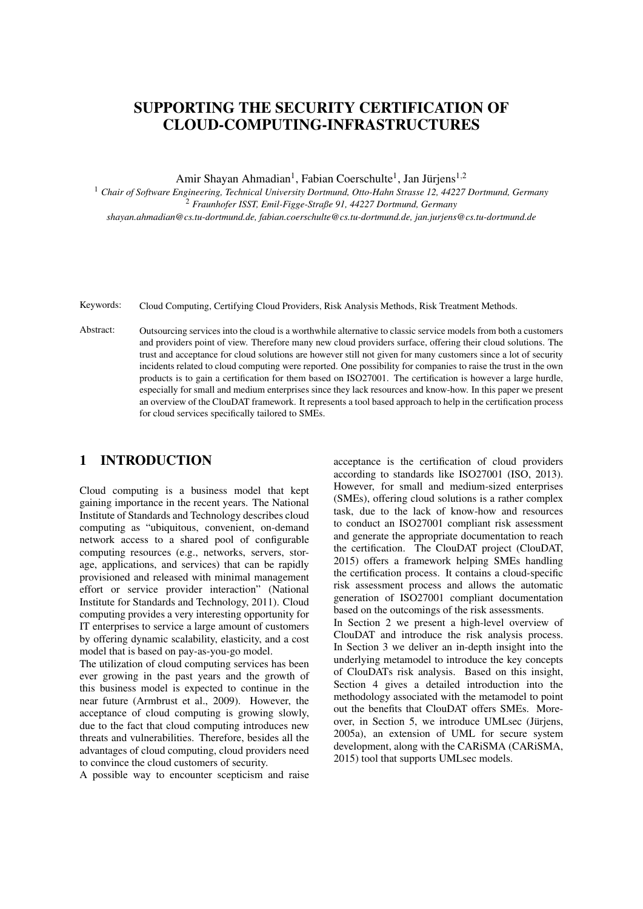# SUPPORTING THE SECURITY CERTIFICATION OF CLOUD-COMPUTING-INFRASTRUCTURES

Amir Shayan Ahmadian<sup>1</sup>, Fabian Coerschulte<sup>1</sup>, Jan Jürjens<sup>1,2</sup>

<sup>1</sup> *Chair of Software Engineering, Technical University Dortmund, Otto-Hahn Strasse 12, 44227 Dortmund, Germany* <sup>2</sup> *Fraunhofer ISST, Emil-Figge-Straße 91, 44227 Dortmund, Germany shayan.ahmadian@cs.tu-dortmund.de, fabian.coerschulte@cs.tu-dortmund.de, jan.jurjens@cs.tu-dortmund.de*

Keywords: Cloud Computing, Certifying Cloud Providers, Risk Analysis Methods, Risk Treatment Methods.

Abstract: Outsourcing services into the cloud is a worthwhile alternative to classic service models from both a customers and providers point of view. Therefore many new cloud providers surface, offering their cloud solutions. The trust and acceptance for cloud solutions are however still not given for many customers since a lot of security incidents related to cloud computing were reported. One possibility for companies to raise the trust in the own products is to gain a certification for them based on ISO27001. The certification is however a large hurdle, especially for small and medium enterprises since they lack resources and know-how. In this paper we present an overview of the ClouDAT framework. It represents a tool based approach to help in the certification process for cloud services specifically tailored to SMEs.

## 1 INTRODUCTION

Cloud computing is a business model that kept gaining importance in the recent years. The National Institute of Standards and Technology describes cloud computing as "ubiquitous, convenient, on-demand network access to a shared pool of configurable computing resources (e.g., networks, servers, storage, applications, and services) that can be rapidly provisioned and released with minimal management effort or service provider interaction" (National Institute for Standards and Technology, 2011). Cloud computing provides a very interesting opportunity for IT enterprises to service a large amount of customers by offering dynamic scalability, elasticity, and a cost model that is based on pay-as-you-go model.

The utilization of cloud computing services has been ever growing in the past years and the growth of this business model is expected to continue in the near future (Armbrust et al., 2009). However, the acceptance of cloud computing is growing slowly, due to the fact that cloud computing introduces new threats and vulnerabilities. Therefore, besides all the advantages of cloud computing, cloud providers need to convince the cloud customers of security.

A possible way to encounter scepticism and raise

acceptance is the certification of cloud providers according to standards like ISO27001 (ISO, 2013). However, for small and medium-sized enterprises (SMEs), offering cloud solutions is a rather complex task, due to the lack of know-how and resources to conduct an ISO27001 compliant risk assessment and generate the appropriate documentation to reach the certification. The ClouDAT project (ClouDAT, 2015) offers a framework helping SMEs handling the certification process. It contains a cloud-specific risk assessment process and allows the automatic generation of ISO27001 compliant documentation based on the outcomings of the risk assessments. In Section 2 we present a high-level overview of ClouDAT and introduce the risk analysis process. In Section 3 we deliver an in-depth insight into the underlying metamodel to introduce the key concepts of ClouDATs risk analysis. Based on this insight, Section 4 gives a detailed introduction into the methodology associated with the metamodel to point out the benefits that ClouDAT offers SMEs. Moreover, in Section 5, we introduce UMLsec (Jürjens, 2005a), an extension of UML for secure system development, along with the CARiSMA (CARiSMA, 2015) tool that supports UMLsec models.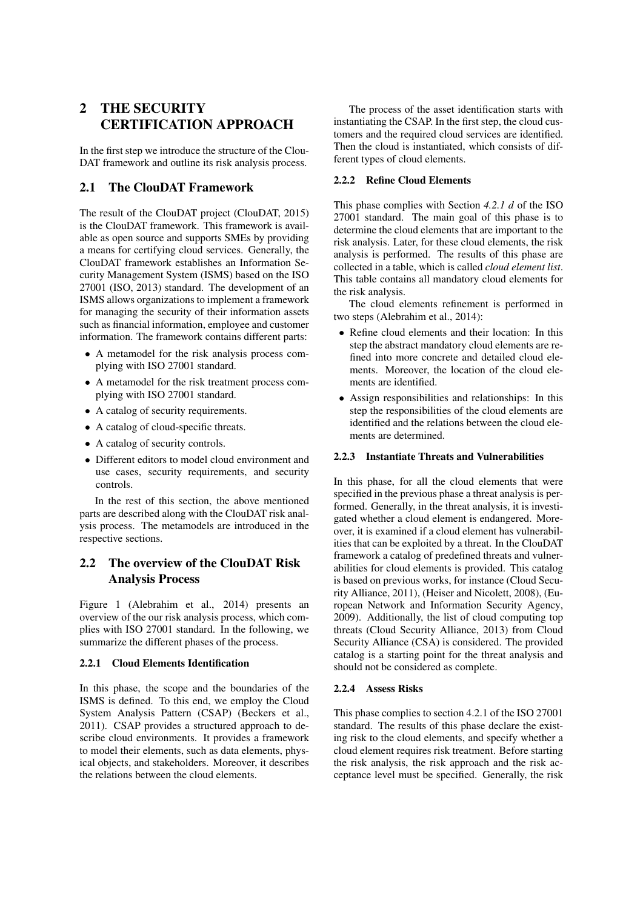# 2 THE SECURITY CERTIFICATION APPROACH

In the first step we introduce the structure of the Clou-DAT framework and outline its risk analysis process.

### 2.1 The ClouDAT Framework

The result of the ClouDAT project (ClouDAT, 2015) is the ClouDAT framework. This framework is available as open source and supports SMEs by providing a means for certifying cloud services. Generally, the ClouDAT framework establishes an Information Security Management System (ISMS) based on the ISO 27001 (ISO, 2013) standard. The development of an ISMS allows organizations to implement a framework for managing the security of their information assets such as financial information, employee and customer information. The framework contains different parts:

- A metamodel for the risk analysis process complying with ISO 27001 standard.
- A metamodel for the risk treatment process complying with ISO 27001 standard.
- A catalog of security requirements.
- A catalog of cloud-specific threats.
- A catalog of security controls.
- Different editors to model cloud environment and use cases, security requirements, and security controls.

In the rest of this section, the above mentioned parts are described along with the ClouDAT risk analysis process. The metamodels are introduced in the respective sections.

# 2.2 The overview of the ClouDAT Risk Analysis Process

Figure 1 (Alebrahim et al., 2014) presents an overview of the our risk analysis process, which complies with ISO 27001 standard. In the following, we summarize the different phases of the process.

### 2.2.1 Cloud Elements Identification

In this phase, the scope and the boundaries of the ISMS is defined. To this end, we employ the Cloud System Analysis Pattern (CSAP) (Beckers et al., 2011). CSAP provides a structured approach to describe cloud environments. It provides a framework to model their elements, such as data elements, physical objects, and stakeholders. Moreover, it describes the relations between the cloud elements.

The process of the asset identification starts with instantiating the CSAP. In the first step, the cloud customers and the required cloud services are identified. Then the cloud is instantiated, which consists of different types of cloud elements.

#### 2.2.2 Refine Cloud Elements

This phase complies with Section *4.2.1 d* of the ISO 27001 standard. The main goal of this phase is to determine the cloud elements that are important to the risk analysis. Later, for these cloud elements, the risk analysis is performed. The results of this phase are collected in a table, which is called *cloud element list*. This table contains all mandatory cloud elements for the risk analysis.

The cloud elements refinement is performed in two steps (Alebrahim et al., 2014):

- Refine cloud elements and their location: In this step the abstract mandatory cloud elements are refined into more concrete and detailed cloud elements. Moreover, the location of the cloud elements are identified.
- Assign responsibilities and relationships: In this step the responsibilities of the cloud elements are identified and the relations between the cloud elements are determined.

#### 2.2.3 Instantiate Threats and Vulnerabilities

In this phase, for all the cloud elements that were specified in the previous phase a threat analysis is performed. Generally, in the threat analysis, it is investigated whether a cloud element is endangered. Moreover, it is examined if a cloud element has vulnerabilities that can be exploited by a threat. In the ClouDAT framework a catalog of predefined threats and vulnerabilities for cloud elements is provided. This catalog is based on previous works, for instance (Cloud Security Alliance, 2011), (Heiser and Nicolett, 2008), (European Network and Information Security Agency, 2009). Additionally, the list of cloud computing top threats (Cloud Security Alliance, 2013) from Cloud Security Alliance (CSA) is considered. The provided catalog is a starting point for the threat analysis and should not be considered as complete.

#### 2.2.4 Assess Risks

This phase complies to section 4.2.1 of the ISO 27001 standard. The results of this phase declare the existing risk to the cloud elements, and specify whether a cloud element requires risk treatment. Before starting the risk analysis, the risk approach and the risk acceptance level must be specified. Generally, the risk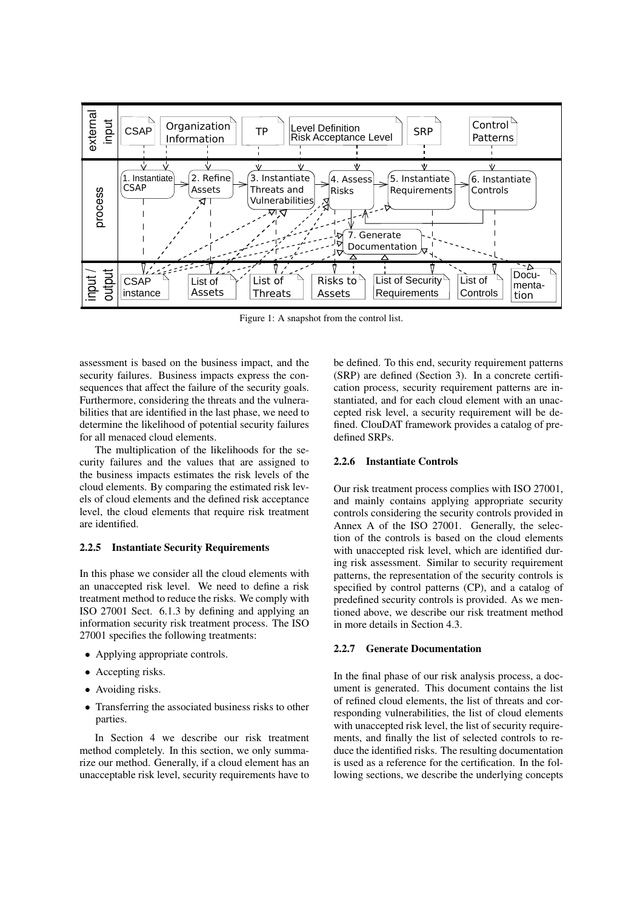

Figure 1: A snapshot from the control list.

assessment is based on the business impact, and the security failures. Business impacts express the consequences that affect the failure of the security goals. Furthermore, considering the threats and the vulnerabilities that are identified in the last phase, we need to determine the likelihood of potential security failures for all menaced cloud elements.

The multiplication of the likelihoods for the security failures and the values that are assigned to the business impacts estimates the risk levels of the cloud elements. By comparing the estimated risk levels of cloud elements and the defined risk acceptance level, the cloud elements that require risk treatment are identified.

#### 2.2.5 Instantiate Security Requirements

In this phase we consider all the cloud elements with an unaccepted risk level. We need to define a risk treatment method to reduce the risks. We comply with ISO 27001 Sect. 6.1.3 by defining and applying an information security risk treatment process. The ISO 27001 specifies the following treatments:

- Applying appropriate controls.
- Accepting risks.
- Avoiding risks.
- Transferring the associated business risks to other parties.

In Section 4 we describe our risk treatment method completely. In this section, we only summarize our method. Generally, if a cloud element has an unacceptable risk level, security requirements have to be defined. To this end, security requirement patterns (SRP) are defined (Section 3). In a concrete certification process, security requirement patterns are instantiated, and for each cloud element with an unaccepted risk level, a security requirement will be defined. ClouDAT framework provides a catalog of predefined SRPs.

#### 2.2.6 Instantiate Controls

Our risk treatment process complies with ISO 27001, and mainly contains applying appropriate security controls considering the security controls provided in Annex A of the ISO 27001. Generally, the selection of the controls is based on the cloud elements with unaccepted risk level, which are identified during risk assessment. Similar to security requirement patterns, the representation of the security controls is specified by control patterns (CP), and a catalog of predefined security controls is provided. As we mentioned above, we describe our risk treatment method in more details in Section 4.3.

#### 2.2.7 Generate Documentation

In the final phase of our risk analysis process, a document is generated. This document contains the list of refined cloud elements, the list of threats and corresponding vulnerabilities, the list of cloud elements with unaccepted risk level, the list of security requirements, and finally the list of selected controls to reduce the identified risks. The resulting documentation is used as a reference for the certification. In the following sections, we describe the underlying concepts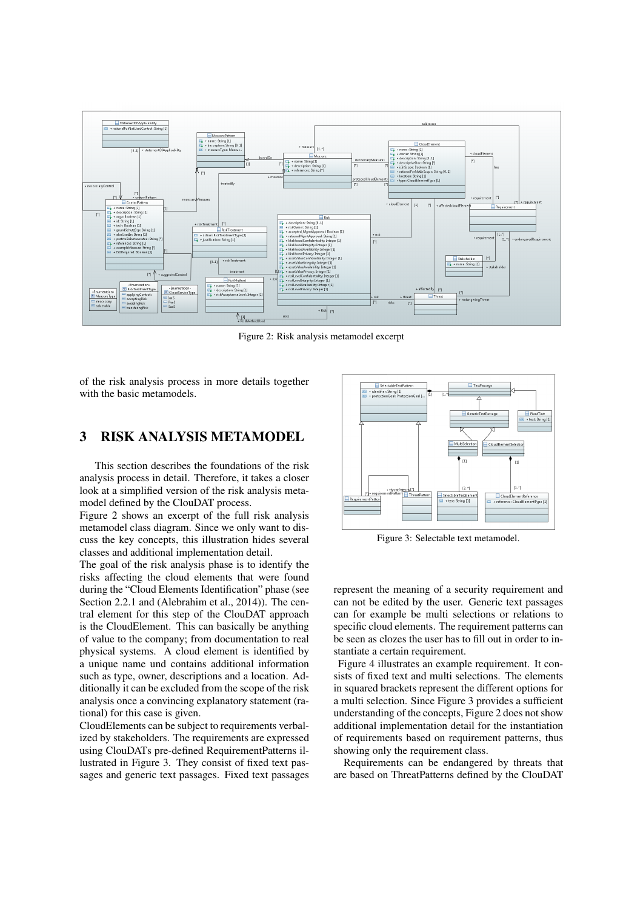

Figure 2: Risk analysis metamodel excerpt

of the risk analysis process in more details together with the basic metamodels.

## 3 RISK ANALYSIS METAMODEL

This section describes the foundations of the risk analysis process in detail. Therefore, it takes a closer look at a simplified version of the risk analysis metamodel defined by the ClouDAT process.

Figure 2 shows an excerpt of the full risk analysis metamodel class diagram. Since we only want to discuss the key concepts, this illustration hides several classes and additional implementation detail.

The goal of the risk analysis phase is to identify the risks affecting the cloud elements that were found during the "Cloud Elements Identification" phase (see Section 2.2.1 and (Alebrahim et al., 2014)). The central element for this step of the ClouDAT approach is the CloudElement. This can basically be anything of value to the company; from documentation to real physical systems. A cloud element is identified by a unique name und contains additional information such as type, owner, descriptions and a location. Additionally it can be excluded from the scope of the risk analysis once a convincing explanatory statement (rational) for this case is given.

CloudElements can be subject to requirements verbalized by stakeholders. The requirements are expressed using ClouDATs pre-defined RequirementPatterns illustrated in Figure 3. They consist of fixed text passages and generic text passages. Fixed text passages



Figure 3: Selectable text metamodel.

represent the meaning of a security requirement and can not be edited by the user. Generic text passages can for example be multi selections or relations to specific cloud elements. The requirement patterns can be seen as clozes the user has to fill out in order to instantiate a certain requirement.

Figure 4 illustrates an example requirement. It consists of fixed text and multi selections. The elements in squared brackets represent the different options for a multi selection. Since Figure 3 provides a sufficient understanding of the concepts, Figure 2 does not show additional implementation detail for the instantiation of requirements based on requirement patterns, thus showing only the requirement class.

Requirements can be endangered by threats that are based on ThreatPatterns defined by the ClouDAT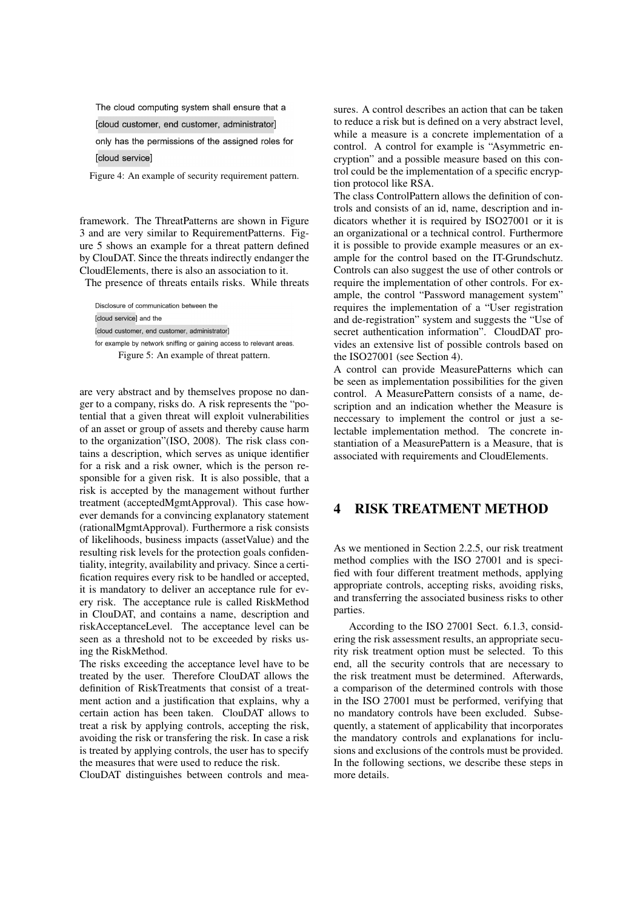The cloud computing system shall ensure that a

[cloud customer, end customer, administrator]

only has the permissions of the assigned roles for cloud service]

Figure 4: An example of security requirement pattern.

framework. The ThreatPatterns are shown in Figure 3 and are very similar to RequirementPatterns. Figure 5 shows an example for a threat pattern defined by ClouDAT. Since the threats indirectly endanger the CloudElements, there is also an association to it.

The presence of threats entails risks. While threats

Disclosure of communication between the **Icloud service** and the [cloud customer, end customer, administrator] for example by network sniffing or gaining access to relevant areas. Figure 5: An example of threat pattern.

are very abstract and by themselves propose no danger to a company, risks do. A risk represents the "potential that a given threat will exploit vulnerabilities of an asset or group of assets and thereby cause harm to the organization"(ISO, 2008). The risk class contains a description, which serves as unique identifier for a risk and a risk owner, which is the person responsible for a given risk. It is also possible, that a risk is accepted by the management without further treatment (acceptedMgmtApproval). This case however demands for a convincing explanatory statement (rationalMgmtApproval). Furthermore a risk consists of likelihoods, business impacts (assetValue) and the resulting risk levels for the protection goals confidentiality, integrity, availability and privacy. Since a certification requires every risk to be handled or accepted, it is mandatory to deliver an acceptance rule for every risk. The acceptance rule is called RiskMethod in ClouDAT, and contains a name, description and riskAcceptanceLevel. The acceptance level can be seen as a threshold not to be exceeded by risks using the RiskMethod.

The risks exceeding the acceptance level have to be treated by the user. Therefore ClouDAT allows the definition of RiskTreatments that consist of a treatment action and a justification that explains, why a certain action has been taken. ClouDAT allows to treat a risk by applying controls, accepting the risk, avoiding the risk or transfering the risk. In case a risk is treated by applying controls, the user has to specify the measures that were used to reduce the risk.

ClouDAT distinguishes between controls and mea-

sures. A control describes an action that can be taken to reduce a risk but is defined on a very abstract level, while a measure is a concrete implementation of a control. A control for example is "Asymmetric encryption" and a possible measure based on this control could be the implementation of a specific encryption protocol like RSA.

The class ControlPattern allows the definition of controls and consists of an id, name, description and indicators whether it is required by ISO27001 or it is an organizational or a technical control. Furthermore it is possible to provide example measures or an example for the control based on the IT-Grundschutz. Controls can also suggest the use of other controls or require the implementation of other controls. For example, the control "Password management system" requires the implementation of a "User registration and de-registration" system and suggests the "Use of secret authentication information". CloudDAT provides an extensive list of possible controls based on the ISO27001 (see Section 4).

A control can provide MeasurePatterns which can be seen as implementation possibilities for the given control. A MeasurePattern consists of a name, description and an indication whether the Measure is neccessary to implement the control or just a selectable implementation method. The concrete instantiation of a MeasurePattern is a Measure, that is associated with requirements and CloudElements.

### 4 RISK TREATMENT METHOD

As we mentioned in Section 2.2.5, our risk treatment method complies with the ISO 27001 and is specified with four different treatment methods, applying appropriate controls, accepting risks, avoiding risks, and transferring the associated business risks to other parties.

According to the ISO 27001 Sect. 6.1.3, considering the risk assessment results, an appropriate security risk treatment option must be selected. To this end, all the security controls that are necessary to the risk treatment must be determined. Afterwards, a comparison of the determined controls with those in the ISO 27001 must be performed, verifying that no mandatory controls have been excluded. Subsequently, a statement of applicability that incorporates the mandatory controls and explanations for inclusions and exclusions of the controls must be provided. In the following sections, we describe these steps in more details.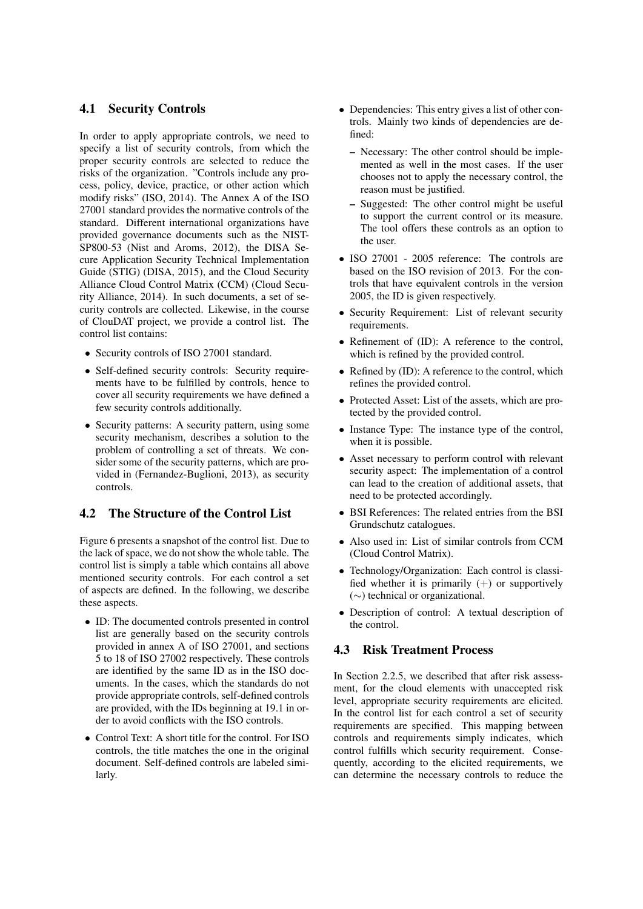### 4.1 Security Controls

In order to apply appropriate controls, we need to specify a list of security controls, from which the proper security controls are selected to reduce the risks of the organization. "Controls include any process, policy, device, practice, or other action which modify risks" (ISO, 2014). The Annex A of the ISO 27001 standard provides the normative controls of the standard. Different international organizations have provided governance documents such as the NIST-SP800-53 (Nist and Aroms, 2012), the DISA Secure Application Security Technical Implementation Guide (STIG) (DISA, 2015), and the Cloud Security Alliance Cloud Control Matrix (CCM) (Cloud Security Alliance, 2014). In such documents, a set of security controls are collected. Likewise, in the course of ClouDAT project, we provide a control list. The control list contains:

- Security controls of ISO 27001 standard.
- Self-defined security controls: Security requirements have to be fulfilled by controls, hence to cover all security requirements we have defined a few security controls additionally.
- Security patterns: A security pattern, using some security mechanism, describes a solution to the problem of controlling a set of threats. We consider some of the security patterns, which are provided in (Fernandez-Buglioni, 2013), as security controls.

# 4.2 The Structure of the Control List

Figure 6 presents a snapshot of the control list. Due to the lack of space, we do not show the whole table. The control list is simply a table which contains all above mentioned security controls. For each control a set of aspects are defined. In the following, we describe these aspects.

- ID: The documented controls presented in control list are generally based on the security controls provided in annex A of ISO 27001, and sections 5 to 18 of ISO 27002 respectively. These controls are identified by the same ID as in the ISO documents. In the cases, which the standards do not provide appropriate controls, self-defined controls are provided, with the IDs beginning at 19.1 in order to avoid conflicts with the ISO controls.
- Control Text: A short title for the control. For ISO controls, the title matches the one in the original document. Self-defined controls are labeled similarly.
- Dependencies: This entry gives a list of other controls. Mainly two kinds of dependencies are defined:
	- Necessary: The other control should be implemented as well in the most cases. If the user chooses not to apply the necessary control, the reason must be justified.
	- Suggested: The other control might be useful to support the current control or its measure. The tool offers these controls as an option to the user.
- ISO 27001 2005 reference: The controls are based on the ISO revision of 2013. For the controls that have equivalent controls in the version 2005, the ID is given respectively.
- Security Requirement: List of relevant security requirements.
- Refinement of (ID): A reference to the control, which is refined by the provided control.
- Refined by (ID): A reference to the control, which refines the provided control.
- Protected Asset: List of the assets, which are protected by the provided control.
- Instance Type: The instance type of the control, when it is possible.
- Asset necessary to perform control with relevant security aspect: The implementation of a control can lead to the creation of additional assets, that need to be protected accordingly.
- BSI References: The related entries from the BSI Grundschutz catalogues.
- Also used in: List of similar controls from CCM (Cloud Control Matrix).
- Technology/Organization: Each control is classified whether it is primarily  $(+)$  or supportively (∼) technical or organizational.
- Description of control: A textual description of the control.

### 4.3 Risk Treatment Process

In Section 2.2.5, we described that after risk assessment, for the cloud elements with unaccepted risk level, appropriate security requirements are elicited. In the control list for each control a set of security requirements are specified. This mapping between controls and requirements simply indicates, which control fulfills which security requirement. Consequently, according to the elicited requirements, we can determine the necessary controls to reduce the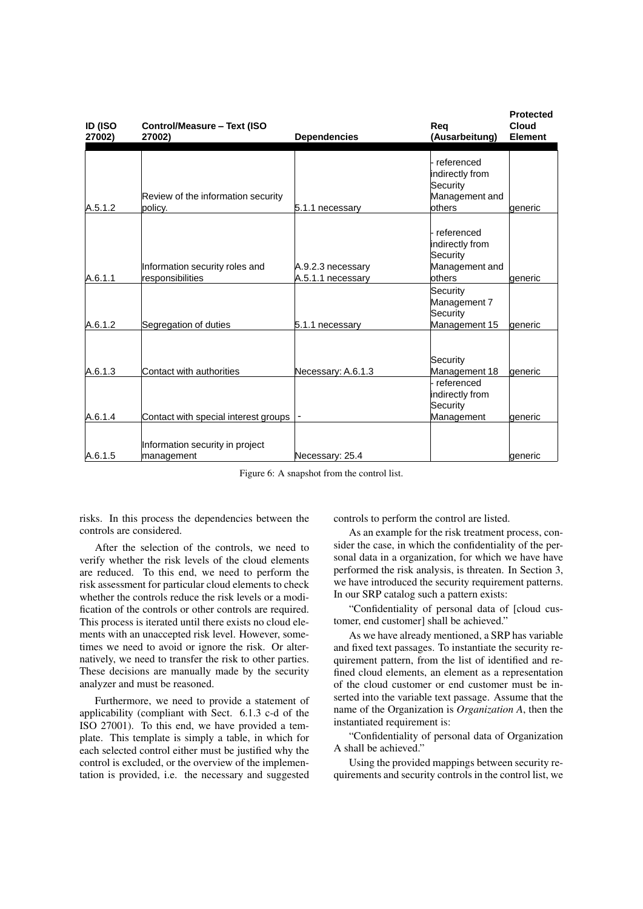| <b>ID (ISO)</b><br>27002) | Control/Measure - Text (ISO<br>27002)              | <b>Dependencies</b>                    | Rea<br>(Ausarbeitung)                                                           | <b>Protected</b><br><b>Cloud</b><br><b>Element</b> |
|---------------------------|----------------------------------------------------|----------------------------------------|---------------------------------------------------------------------------------|----------------------------------------------------|
| A.5.1.2                   | Review of the information security<br>policy.      | 5.1.1 necessary                        | - referenced<br>indirectly from<br>Security<br>Management and<br><b>lothers</b> | qeneric                                            |
| A.6.1.1                   | Information security roles and<br>responsibilities | A.9.2.3 necessary<br>A.5.1.1 necessary | - referenced<br>indirectly from<br>Security<br>Management and<br><b>lothers</b> | generic                                            |
| A.6.1.2                   | Segregation of duties                              | 5.1.1 necessary                        | Security<br>Management 7<br>Security<br>Management 15                           | qeneric                                            |
| A.6.1.3                   | Contact with authorities                           | Necessary: A.6.1.3                     | Security<br>Management 18                                                       | qeneric                                            |
| A.6.1.4                   | Contact with special interest groups               |                                        | - referenced<br>indirectly from<br>Security<br>Management                       | lgeneric                                           |
| A.6.1.5                   | Information security in project<br>management      | Necessary: 25.4                        |                                                                                 | laeneric                                           |

Figure 6: A snapshot from the control list.

risks. In this process the dependencies between the controls are considered.

After the selection of the controls, we need to verify whether the risk levels of the cloud elements are reduced. To this end, we need to perform the risk assessment for particular cloud elements to check whether the controls reduce the risk levels or a modification of the controls or other controls are required. This process is iterated until there exists no cloud elements with an unaccepted risk level. However, sometimes we need to avoid or ignore the risk. Or alternatively, we need to transfer the risk to other parties. These decisions are manually made by the security analyzer and must be reasoned.

Furthermore, we need to provide a statement of applicability (compliant with Sect. 6.1.3 c-d of the ISO 27001). To this end, we have provided a template. This template is simply a table, in which for each selected control either must be justified why the control is excluded, or the overview of the implementation is provided, i.e. the necessary and suggested controls to perform the control are listed.

As an example for the risk treatment process, consider the case, in which the confidentiality of the personal data in a organization, for which we have have performed the risk analysis, is threaten. In Section 3, we have introduced the security requirement patterns. In our SRP catalog such a pattern exists:

"Confidentiality of personal data of [cloud customer, end customer] shall be achieved."

As we have already mentioned, a SRP has variable and fixed text passages. To instantiate the security requirement pattern, from the list of identified and refined cloud elements, an element as a representation of the cloud customer or end customer must be inserted into the variable text passage. Assume that the name of the Organization is *Organization A*, then the instantiated requirement is:

"Confidentiality of personal data of Organization A shall be achieved."

Using the provided mappings between security requirements and security controls in the control list, we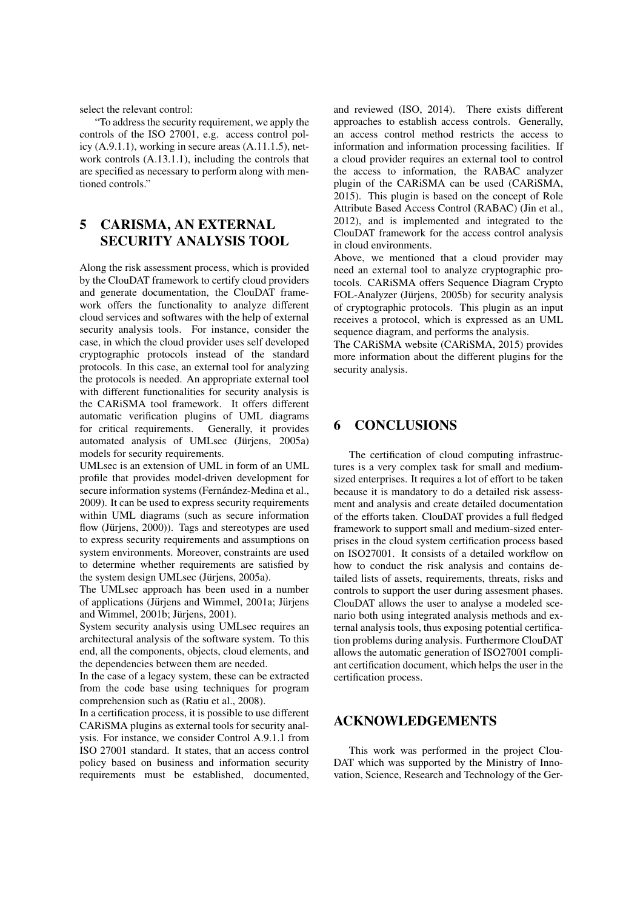select the relevant control:

"To address the security requirement, we apply the controls of the ISO 27001, e.g. access control policy (A.9.1.1), working in secure areas (A.11.1.5), network controls (A.13.1.1), including the controls that are specified as necessary to perform along with mentioned controls."

# 5 CARISMA, AN EXTERNAL SECURITY ANALYSIS TOOL

Along the risk assessment process, which is provided by the ClouDAT framework to certify cloud providers and generate documentation, the ClouDAT framework offers the functionality to analyze different cloud services and softwares with the help of external security analysis tools. For instance, consider the case, in which the cloud provider uses self developed cryptographic protocols instead of the standard protocols. In this case, an external tool for analyzing the protocols is needed. An appropriate external tool with different functionalities for security analysis is the CARiSMA tool framework. It offers different automatic verification plugins of UML diagrams for critical requirements. Generally, it provides automated analysis of UMLsec (Jürjens, 2005a) models for security requirements.

UMLsec is an extension of UML in form of an UML profile that provides model-driven development for secure information systems (Fernández-Medina et al., 2009). It can be used to express security requirements within UML diagrams (such as secure information flow (Jürjens,  $2000$ )). Tags and stereotypes are used to express security requirements and assumptions on system environments. Moreover, constraints are used to determine whether requirements are satisfied by the system design UMLsec (Jürjens, 2005a).

The UMLsec approach has been used in a number of applications (Jürjens and Wimmel, 2001a; Jürjens and Wimmel, 2001b; Jürjens, 2001).

System security analysis using UMLsec requires an architectural analysis of the software system. To this end, all the components, objects, cloud elements, and the dependencies between them are needed.

In the case of a legacy system, these can be extracted from the code base using techniques for program comprehension such as (Ratiu et al., 2008).

In a certification process, it is possible to use different CARiSMA plugins as external tools for security analysis. For instance, we consider Control A.9.1.1 from ISO 27001 standard. It states, that an access control policy based on business and information security requirements must be established, documented,

and reviewed (ISO, 2014). There exists different approaches to establish access controls. Generally, an access control method restricts the access to information and information processing facilities. If a cloud provider requires an external tool to control the access to information, the RABAC analyzer plugin of the CARiSMA can be used (CARiSMA, 2015). This plugin is based on the concept of Role Attribute Based Access Control (RABAC) (Jin et al., 2012), and is implemented and integrated to the ClouDAT framework for the access control analysis in cloud environments.

Above, we mentioned that a cloud provider may need an external tool to analyze cryptographic protocols. CARiSMA offers Sequence Diagram Crypto FOL-Analyzer (Jürjens, 2005b) for security analysis of cryptographic protocols. This plugin as an input receives a protocol, which is expressed as an UML sequence diagram, and performs the analysis.

The CARiSMA website (CARiSMA, 2015) provides more information about the different plugins for the security analysis.

# **CONCLUSIONS**

The certification of cloud computing infrastructures is a very complex task for small and mediumsized enterprises. It requires a lot of effort to be taken because it is mandatory to do a detailed risk assessment and analysis and create detailed documentation of the efforts taken. ClouDAT provides a full fledged framework to support small and medium-sized enterprises in the cloud system certification process based on ISO27001. It consists of a detailed workflow on how to conduct the risk analysis and contains detailed lists of assets, requirements, threats, risks and controls to support the user during assesment phases. ClouDAT allows the user to analyse a modeled scenario both using integrated analysis methods and external analysis tools, thus exposing potential certification problems during analysis. Furthermore ClouDAT allows the automatic generation of ISO27001 compliant certification document, which helps the user in the certification process.

### ACKNOWLEDGEMENTS

This work was performed in the project Clou-DAT which was supported by the Ministry of Innovation, Science, Research and Technology of the Ger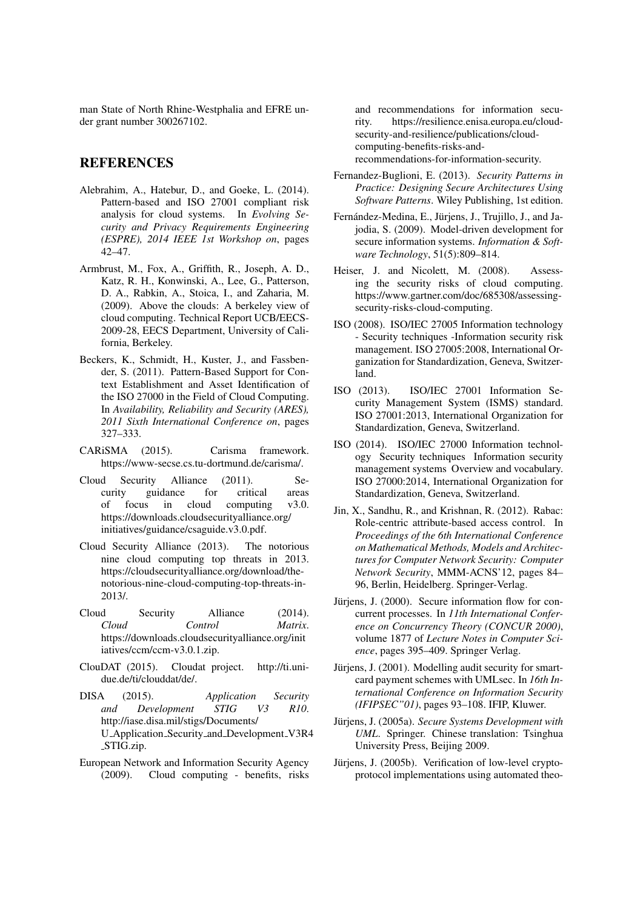man State of North Rhine-Westphalia and EFRE under grant number 300267102.

# **REFERENCES**

- Alebrahim, A., Hatebur, D., and Goeke, L. (2014). Pattern-based and ISO 27001 compliant risk analysis for cloud systems. In *Evolving Security and Privacy Requirements Engineering (ESPRE), 2014 IEEE 1st Workshop on*, pages 42–47.
- Armbrust, M., Fox, A., Griffith, R., Joseph, A. D., Katz, R. H., Konwinski, A., Lee, G., Patterson, D. A., Rabkin, A., Stoica, I., and Zaharia, M. (2009). Above the clouds: A berkeley view of cloud computing. Technical Report UCB/EECS-2009-28, EECS Department, University of California, Berkeley.
- Beckers, K., Schmidt, H., Kuster, J., and Fassbender, S. (2011). Pattern-Based Support for Context Establishment and Asset Identification of the ISO 27000 in the Field of Cloud Computing. In *Availability, Reliability and Security (ARES), 2011 Sixth International Conference on*, pages 327–333.
- CARiSMA (2015). Carisma framework. https://www-secse.cs.tu-dortmund.de/carisma/.
- Cloud Security Alliance (2011). Security guidance for critical areas of focus in cloud computing v3.0. https://downloads.cloudsecurityalliance.org/ initiatives/guidance/csaguide.v3.0.pdf.
- Cloud Security Alliance (2013). The notorious nine cloud computing top threats in 2013. https://cloudsecurityalliance.org/download/thenotorious-nine-cloud-computing-top-threats-in-2013/.
- Cloud Security Alliance (2014). *Cloud Control Matrix*. https://downloads.cloudsecurityalliance.org/init iatives/ccm/ccm-v3.0.1.zip.
- ClouDAT (2015). Cloudat project. http://ti.unidue.de/ti/clouddat/de/.
- DISA (2015). *Application Security and Development STIG V3 R10*. http://iase.disa.mil/stigs/Documents/ U Application Security and Development V3R4 STIG.zip.
- European Network and Information Security Agency (2009). Cloud computing - benefits, risks

and recommendations for information security. https://resilience.enisa.europa.eu/cloudsecurity-and-resilience/publications/cloudcomputing-benefits-risks-andrecommendations-for-information-security.

- Fernandez-Buglioni, E. (2013). *Security Patterns in Practice: Designing Secure Architectures Using Software Patterns*. Wiley Publishing, 1st edition.
- Fernández-Medina, E., Jürjens, J., Trujillo, J., and Jajodia, S. (2009). Model-driven development for secure information systems. *Information & Software Technology*, 51(5):809–814.
- Heiser, J. and Nicolett, M. (2008). Assessing the security risks of cloud computing. https://www.gartner.com/doc/685308/assessingsecurity-risks-cloud-computing.
- ISO (2008). ISO/IEC 27005 Information technology - Security techniques -Information security risk management. ISO 27005:2008, International Organization for Standardization, Geneva, Switzerland.
- ISO (2013). ISO/IEC 27001 Information Security Management System (ISMS) standard. ISO 27001:2013, International Organization for Standardization, Geneva, Switzerland.
- ISO (2014). ISO/IEC 27000 Information technology Security techniques Information security management systems Overview and vocabulary. ISO 27000:2014, International Organization for Standardization, Geneva, Switzerland.
- Jin, X., Sandhu, R., and Krishnan, R. (2012). Rabac: Role-centric attribute-based access control. In *Proceedings of the 6th International Conference on Mathematical Methods, Models and Architectures for Computer Network Security: Computer Network Security*, MMM-ACNS'12, pages 84– 96, Berlin, Heidelberg. Springer-Verlag.
- Jürjens, J. (2000). Secure information flow for concurrent processes. In *11th International Conference on Concurrency Theory (CONCUR 2000)*, volume 1877 of *Lecture Notes in Computer Science*, pages 395–409. Springer Verlag.
- Jürjens, J. (2001). Modelling audit security for smartcard payment schemes with UMLsec. In *16th International Conference on Information Security (IFIPSEC"01)*, pages 93–108. IFIP, Kluwer.
- Jürjens, J. (2005a). Secure Systems Development with *UML*. Springer. Chinese translation: Tsinghua University Press, Beijing 2009.
- Jürjens, J. (2005b). Verification of low-level cryptoprotocol implementations using automated theo-